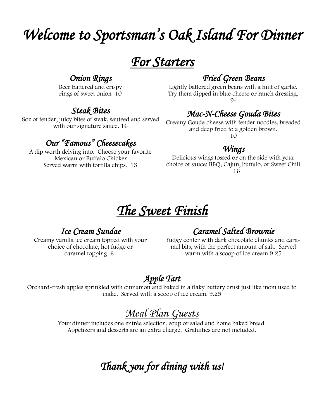# *Welcome to Sportsman's Oak Island For Dinner*

*For Starters* 

#### *Onion Rings*

Beer battered and crispy rings of sweet onion 10

## *Steak Bites*

8oz of tender, juicy bites of steak, sauteed and served with our signature sauce. 16

### *Our "Famous" Cheesecakes*

A dip worth delving into. Choose your favorite Mexican or Buffalo Chicken Served warm with tortilla chips. 13

## *Fried Green Beans*

Lightly battered green beans with a hint of garlic. Try them dipped in blue cheese or ranch dressing.  $9 -$ 

# *Mac-N-Cheese Gouda Bites*

Creamy Gouda cheese with tender noodles, breaded and deep fried to a golden brown. 10

#### *Wings*

Delicious wings tossed or on the side with your choice of sauce: BBQ, Cajun, buffalo, or Sweet Chili 16

# *The Sweet Finish*

### *Ice Cream Sundae*

Creamy vanilla ice cream topped with your choice of chocolate, hot fudge or caramel topping 6-

# *Caramel Salted Brownie*

Fudgy center with dark chocolate chunks and caramel bits, with the perfect amount of salt. Served warm with a scoop of ice cream 9.25

# *Apple Tart*

Orchard-fresh apples sprinkled with cinnamon and baked in a flaky buttery crust just like mom used to make. Served with a scoop of ice cream. 9.25

# *Meal Plan Guests*

Your dinner includes one entrée selection, soup or salad and home baked bread. Appetizers and desserts are an extra charge. Gratuities are not included.

*Thank you for dining with us!*